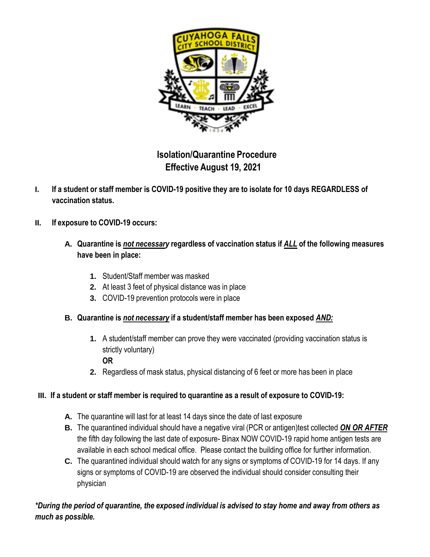

## **Isolation/Quarantine Procedure Effective August 19, 2021**

- I. If a student or staff member is COVID-19 positive they are to isolate for 10 days REGARDLESS of **vaccination status.**
- **II. If exposure to COVID-19 occurs:**
	- **A. Quarantine is** *not necessary* **regardless of vaccination status if** *ALL* **of the following measures have been in place:**
		- **1.** Student/Staff member was masked
		- **2.** At least 3 feet of physical distance was in place
		- **3.** COVID-19 prevention protocols were in place

## **B. Quarantine is** *not necessary* **if a student/staff member has been exposed** *AND:*

**1.** A student/staff member can prove they were vaccinated (providing vaccination status is strictly voluntary)

## **OR**

**2.** Regardless of mask status, physical distancing of 6 feet or more has been in place

## **III. If a student or staff member is required to quarantine as a result of exposure to COVID-19:**

- **A.** The quarantine will last for at least 14 days since the date of last exposure
- **B.** The quarantined individual should have a negative viral (PCR or antigen)test collected *ON OR AFTER* the fifth day following the last date of exposure- Binax NOW COVID-19 rapid home antigen tests are available in each school medical office. Please contact the building office for further information.
- **C.** The quarantined individual should watch for any signs or symptoms of COVID-19 for 14 days. If any signs or symptoms of COVID-19 are observed the individual should consider consulting their physician

\*During the period of quarantine, the exposed individual is advised to stay home and away from others as *much as possible.*